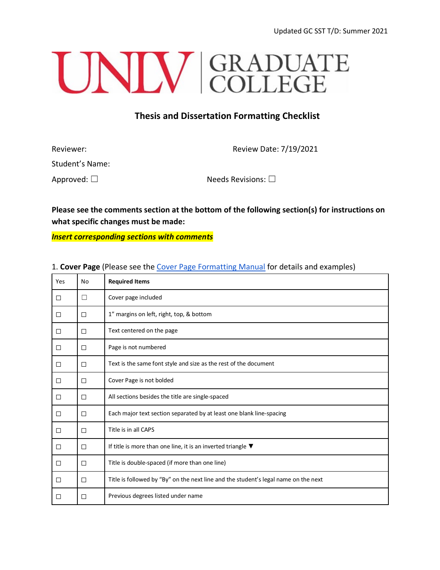# UNIV GRADUATE

## **Thesis and Dissertation Formatting Checklist**

| Reviewer:           | Review Date: 7/19/2021     |
|---------------------|----------------------------|
| Student's Name:     |                            |
| Approved: $\square$ | Needs Revisions: $\square$ |

**Please see the comments section at the bottom of the following section(s) for instructions on what specific changes must be made:** 

*Insert corresponding sections with comments*

| Yes    | No     | <b>Required Items</b>                                                               |
|--------|--------|-------------------------------------------------------------------------------------|
| □      | $\Box$ | Cover page included                                                                 |
| □      | П      | 1" margins on left, right, top, & bottom                                            |
| $\Box$ | □      | Text centered on the page                                                           |
| □      | $\Box$ | Page is not numbered                                                                |
| □      | $\Box$ | Text is the same font style and size as the rest of the document                    |
| □      | □      | Cover Page is not bolded                                                            |
| □      | П      | All sections besides the title are single-spaced                                    |
| $\Box$ | □      | Each major text section separated by at least one blank line-spacing                |
| □      | $\Box$ | Title is in all CAPS                                                                |
| □      | $\Box$ | If title is more than one line, it is an inverted triangle $\blacktriangledown$     |
| □      | □      | Title is double-spaced (if more than one line)                                      |
| □      | $\Box$ | Title is followed by "By" on the next line and the student's legal name on the next |
| □      | П      | Previous degrees listed under name                                                  |

1. **Cover Page** (Please see the [Cover Page Formatting Manual](https://www.unlv.edu/sites/default/files/page_files/27/ThesisDissertationGuide-CoverPage.pdf) for details and examples)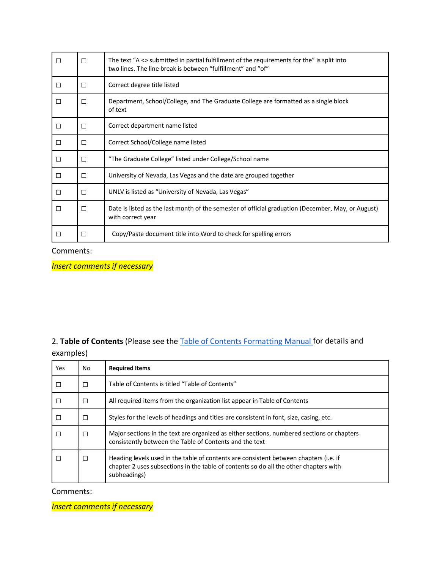| П      | П | The text "A <> submitted in partial fulfillment of the requirements for the" is split into<br>two lines. The line break is between "fulfillment" and "of" |
|--------|---|-----------------------------------------------------------------------------------------------------------------------------------------------------------|
| $\Box$ | П | Correct degree title listed                                                                                                                               |
| П      | П | Department, School/College, and The Graduate College are formatted as a single block<br>of text                                                           |
| □      | П | Correct department name listed                                                                                                                            |
| $\Box$ | П | Correct School/College name listed                                                                                                                        |
| □      | П | "The Graduate College" listed under College/School name                                                                                                   |
| $\Box$ | П | University of Nevada, Las Vegas and the date are grouped together                                                                                         |
| □      | П | UNLV is listed as "University of Nevada, Las Vegas"                                                                                                       |
| П      | П | Date is listed as the last month of the semester of official graduation (December, May, or August)<br>with correct year                                   |
| П      |   | Copy/Paste document title into Word to check for spelling errors                                                                                          |

Comments:

*Insert comments if necessary*

## 2. **Table of Contents** (Please see the [Table of Contents Formatting Manual f](https://www.unlv.edu/sites/default/files/page_files/27/ThesisDissertationGuide-TableOfContents-2021.pdf)or details and examples)

| Yes | No.    | <b>Required Items</b>                                                                                                                                                                          |
|-----|--------|------------------------------------------------------------------------------------------------------------------------------------------------------------------------------------------------|
|     | П      | Table of Contents is titled "Table of Contents"                                                                                                                                                |
|     | П      | All required items from the organization list appear in Table of Contents                                                                                                                      |
|     | $\Box$ | Styles for the levels of headings and titles are consistent in font, size, casing, etc.                                                                                                        |
|     | П      | Major sections in the text are organized as either sections, numbered sections or chapters<br>consistently between the Table of Contents and the text                                          |
|     | Ω      | Heading levels used in the table of contents are consistent between chapters (i.e. if<br>chapter 2 uses subsections in the table of contents so do all the other chapters with<br>subheadings) |

Comments: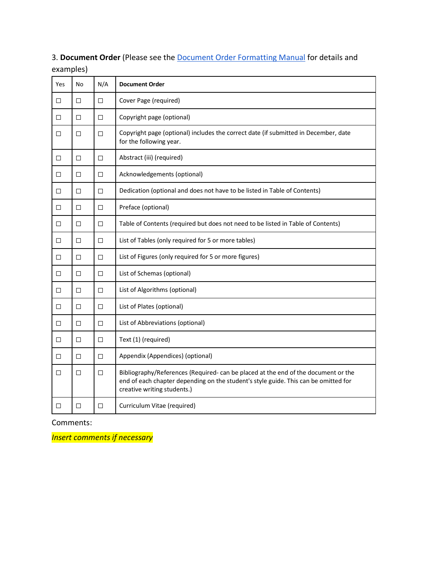| Yes    | No     | N/A    | <b>Document Order</b>                                                                                                                                                                                   |
|--------|--------|--------|---------------------------------------------------------------------------------------------------------------------------------------------------------------------------------------------------------|
| □      | □      | $\Box$ | Cover Page (required)                                                                                                                                                                                   |
| $\Box$ | $\Box$ | $\Box$ | Copyright page (optional)                                                                                                                                                                               |
| □      | $\Box$ | $\Box$ | Copyright page (optional) includes the correct date (if submitted in December, date<br>for the following year.                                                                                          |
| $\Box$ | $\Box$ | $\Box$ | Abstract (iii) (required)                                                                                                                                                                               |
| □      | $\Box$ | $\Box$ | Acknowledgements (optional)                                                                                                                                                                             |
| □      | $\Box$ | $\Box$ | Dedication (optional and does not have to be listed in Table of Contents)                                                                                                                               |
| □      | □      | $\Box$ | Preface (optional)                                                                                                                                                                                      |
| □      | $\Box$ | $\Box$ | Table of Contents (required but does not need to be listed in Table of Contents)                                                                                                                        |
| $\Box$ | □      | $\Box$ | List of Tables (only required for 5 or more tables)                                                                                                                                                     |
| □      | $\Box$ | $\Box$ | List of Figures (only required for 5 or more figures)                                                                                                                                                   |
| □      | $\Box$ | $\Box$ | List of Schemas (optional)                                                                                                                                                                              |
| $\Box$ | □      | $\Box$ | List of Algorithms (optional)                                                                                                                                                                           |
| □      | □      | $\Box$ | List of Plates (optional)                                                                                                                                                                               |
| $\Box$ | $\Box$ | $\Box$ | List of Abbreviations (optional)                                                                                                                                                                        |
| □      | $\Box$ | $\Box$ | Text (1) (required)                                                                                                                                                                                     |
| $\Box$ | $\Box$ | $\Box$ | Appendix (Appendices) (optional)                                                                                                                                                                        |
| □      | $\Box$ | $\Box$ | Bibliography/References (Required-can be placed at the end of the document or the<br>end of each chapter depending on the student's style guide. This can be omitted for<br>creative writing students.) |
| $\Box$ | □      | $\Box$ | Curriculum Vitae (required)                                                                                                                                                                             |

3. **Document Order** (Please see the [Document Order Formatting Manual](https://www.unlv.edu/sites/default/files/page_files/27/GradCollege-ThesisDissertationDocumentOrder3T.pdf) for details and examples)

### Comments: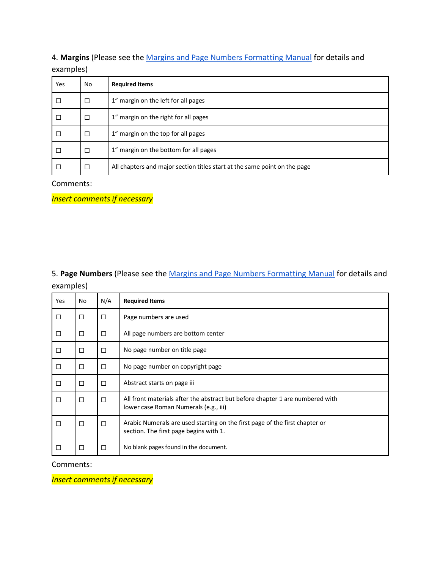4. **Margins** (Please see the [Margins and Page Numbers Formatting Manual](https://www.unlv.edu/sites/default/files/page_files/27/Graduate-MarginsandPageNumbersManual.pdf) for details and examples)

| Yes    | No     | <b>Required Items</b>                                                     |
|--------|--------|---------------------------------------------------------------------------|
| $\Box$ | $\Box$ | 1" margin on the left for all pages                                       |
| $\Box$ | $\Box$ | 1" margin on the right for all pages                                      |
| $\Box$ | $\Box$ | 1" margin on the top for all pages                                        |
| $\Box$ | $\Box$ | 1" margin on the bottom for all pages                                     |
| $\Box$ | $\Box$ | All chapters and major section titles start at the same point on the page |

#### Comments:

*Insert comments if necessary*

5. **Page Numbers** (Please see the [Margins and Page Numbers Formatting Manual](https://www.unlv.edu/sites/default/files/page_files/27/Graduate-MarginsandPageNumbersManual.pdf) for details and examples)

| <b>Yes</b> | No     | N/A    | <b>Required Items</b>                                                                                                  |
|------------|--------|--------|------------------------------------------------------------------------------------------------------------------------|
| $\Box$     | □      | $\Box$ | Page numbers are used                                                                                                  |
| $\Box$     | □      | $\Box$ | All page numbers are bottom center                                                                                     |
| $\Box$     | □      | □      | No page number on title page                                                                                           |
| $\Box$     | $\Box$ | □      | No page number on copyright page                                                                                       |
| $\Box$     | □      | □      | Abstract starts on page iii                                                                                            |
| $\Box$     | □      | □      | All front materials after the abstract but before chapter 1 are numbered with<br>lower case Roman Numerals (e.g., iii) |
| П          | $\Box$ | □      | Arabic Numerals are used starting on the first page of the first chapter or<br>section. The first page begins with 1.  |
| □          | □      | П      | No blank pages found in the document.                                                                                  |

#### Comments: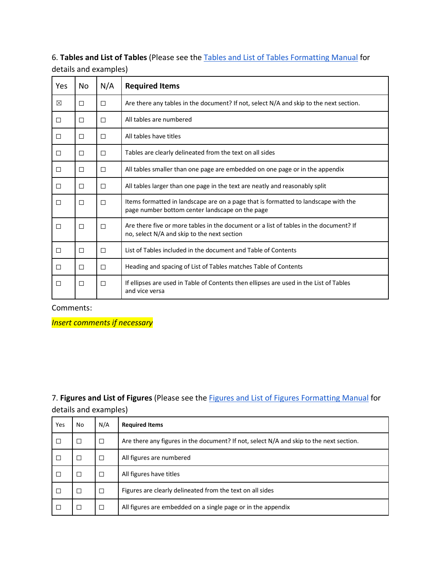# 6. **Tables and List of Tables** (Please see th[e Tables and List of Tables Formatting Manual](https://www.unlv.edu/sites/default/files/page_files/27/TablesandtheListofTablesManual.pdf) for

| Yes    | No     | N/A    | <b>Required Items</b>                                                                                                                 |
|--------|--------|--------|---------------------------------------------------------------------------------------------------------------------------------------|
| ⊠      | $\Box$ | $\Box$ | Are there any tables in the document? If not, select N/A and skip to the next section.                                                |
| $\Box$ | □      | □      | All tables are numbered                                                                                                               |
| $\Box$ | $\Box$ | $\Box$ | All tables have titles                                                                                                                |
| $\Box$ | $\Box$ | $\Box$ | Tables are clearly delineated from the text on all sides                                                                              |
| □      | □      | $\Box$ | All tables smaller than one page are embedded on one page or in the appendix                                                          |
| $\Box$ | $\Box$ | $\Box$ | All tables larger than one page in the text are neatly and reasonably split                                                           |
| $\Box$ | $\Box$ | $\Box$ | Items formatted in landscape are on a page that is formatted to landscape with the<br>page number bottom center landscape on the page |
| П      | П      | П      | Are there five or more tables in the document or a list of tables in the document? If<br>no, select N/A and skip to the next section  |
| П      | П      | $\Box$ | List of Tables included in the document and Table of Contents                                                                         |
| □      | □      | □      | Heading and spacing of List of Tables matches Table of Contents                                                                       |
| П      | □      | $\Box$ | If ellipses are used in Table of Contents then ellipses are used in the List of Tables<br>and vice versa                              |

details and examples)

Comments:

*Insert comments if necessary*

7. **Figures and List of Figures** (Please see the [Figures and List of Figures Formatting Manual](https://www.unlv.edu/sites/default/files/page_files/27/OrganizationThesisDissertation-ListOfFigures.pdf) for details and examples)

| Yes    | No | N/A | <b>Required Items</b>                                                                   |
|--------|----|-----|-----------------------------------------------------------------------------------------|
| □      | □  | □   | Are there any figures in the document? If not, select N/A and skip to the next section. |
| Е      | □  | П   | All figures are numbered                                                                |
| $\Box$ | □  |     | All figures have titles                                                                 |
| $\Box$ | □  | □   | Figures are clearly delineated from the text on all sides                               |
| E      | □  | П   | All figures are embedded on a single page or in the appendix                            |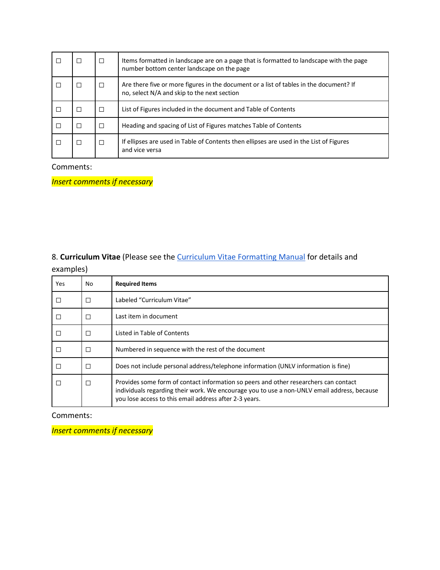|  | $\Box$ | Items formatted in landscape are on a page that is formatted to landscape with the page<br>number bottom center landscape on the page |
|--|--------|---------------------------------------------------------------------------------------------------------------------------------------|
|  | П      | Are there five or more figures in the document or a list of tables in the document? If<br>no, select N/A and skip to the next section |
|  | П      | List of Figures included in the document and Table of Contents                                                                        |
|  | П      | Heading and spacing of List of Figures matches Table of Contents                                                                      |
|  | □      | If ellipses are used in Table of Contents then ellipses are used in the List of Figures<br>and vice versa                             |

## Comments:

*Insert comments if necessary*

## 8. **Curriculum Vitae** (Please see the [Curriculum Vitae Formatting Manual](https://www.unlv.edu/sites/default/files/page_files/27/ThesisDissertationGuide-CurriculumVitae-2021.pdf) for details and examples)

| Yes    | No | <b>Required Items</b>                                                                                                                                                                                                                         |
|--------|----|-----------------------------------------------------------------------------------------------------------------------------------------------------------------------------------------------------------------------------------------------|
| $\Box$ | □  | Labeled "Curriculum Vitae"                                                                                                                                                                                                                    |
| $\Box$ | П  | Last item in document                                                                                                                                                                                                                         |
| □      | □  | Listed in Table of Contents                                                                                                                                                                                                                   |
| $\Box$ | П  | Numbered in sequence with the rest of the document                                                                                                                                                                                            |
| $\Box$ | П  | Does not include personal address/telephone information (UNLV information is fine)                                                                                                                                                            |
| П      | □  | Provides some form of contact information so peers and other researchers can contact<br>individuals regarding their work. We encourage you to use a non-UNLV email address, because<br>you lose access to this email address after 2-3 years. |

Comments: